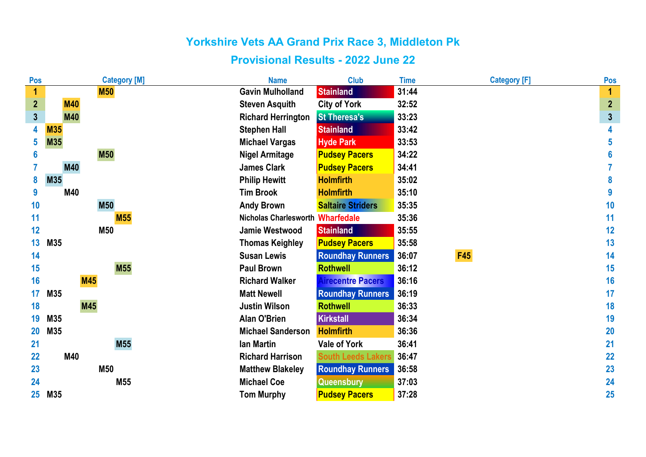| Pos                     | <b>Category [M]</b> | <b>Name</b>                      | <b>Club</b>               | <b>Time</b> | <b>Category [F]</b> | Pos                     |
|-------------------------|---------------------|----------------------------------|---------------------------|-------------|---------------------|-------------------------|
| 1                       | <b>M50</b>          | <b>Gavin Mulholland</b>          | <b>Stainland</b>          | 31:44       |                     | 1                       |
| $\overline{\mathbf{2}}$ | <b>M40</b>          | <b>Steven Asquith</b>            | <b>City of York</b>       | 32:52       |                     | $\overline{2}$          |
| $\overline{3}$          | <b>M40</b>          | <b>Richard Herrington</b>        | <b>St Theresa's</b>       | 33:23       |                     | $\overline{\mathbf{3}}$ |
| 4                       | <b>M35</b>          | <b>Stephen Hall</b>              | <b>Stainland</b>          | 33:42       |                     | 4                       |
| 5                       | M35                 | <b>Michael Vargas</b>            | <b>Hyde Park</b>          | 33:53       |                     | 5                       |
| 6                       | <b>M50</b>          | <b>Nigel Armitage</b>            | <b>Pudsey Pacers</b>      | 34:22       |                     | 6                       |
|                         | <b>M40</b>          | <b>James Clark</b>               | <b>Pudsey Pacers</b>      | 34:41       |                     |                         |
| 8                       | M35                 | <b>Philip Hewitt</b>             | <b>Holmfirth</b>          | 35:02       |                     | 8                       |
| 9                       | M40                 | <b>Tim Brook</b>                 | <b>Holmfirth</b>          | 35:10       |                     | 9                       |
| 10                      | <b>M50</b>          | <b>Andy Brown</b>                | <b>Saltaire Striders</b>  | 35:35       |                     | 10                      |
| 11                      | <b>M55</b>          | Nicholas Charlesworth Wharfedale |                           | 35:36       |                     | 11                      |
| 12                      | M50                 | <b>Jamie Westwood</b>            | <b>Stainland</b>          | 35:55       |                     | 12                      |
| 13                      | M35                 | <b>Thomas Keighley</b>           | <b>Pudsey Pacers</b>      | 35:58       |                     | 13                      |
| 14                      |                     | <b>Susan Lewis</b>               | <b>Roundhay Runners</b>   | 36:07       | <b>F45</b>          | 14                      |
| 15                      | <b>M55</b>          | <b>Paul Brown</b>                | <b>Rothwell</b>           | 36:12       |                     | 15                      |
| 16                      | <b>M45</b>          | <b>Richard Walker</b>            | <b>Airecentre Pacers</b>  | 36:16       |                     | 16                      |
| 17                      | M35                 | <b>Matt Newell</b>               | <b>Roundhay Runners</b>   | 36:19       |                     | 17                      |
| 18                      | <b>M45</b>          | <b>Justin Wilson</b>             | <b>Rothwell</b>           | 36:33       |                     | 18                      |
| 19                      | M35                 | <b>Alan O'Brien</b>              | <b>Kirkstall</b>          | 36:34       |                     | 19                      |
| 20                      | M35                 | <b>Michael Sanderson</b>         | <b>Holmfirth</b>          | 36:36       |                     | <b>20</b>               |
| 21                      | <b>M55</b>          | lan Martin                       | <b>Vale of York</b>       | 36:41       |                     | 21                      |
| 22                      | M40                 | <b>Richard Harrison</b>          | <b>South Leeds Lakers</b> | 36:47       |                     | 22                      |
| 23                      | <b>M50</b>          | <b>Matthew Blakeley</b>          | <b>Roundhay Runners</b>   | 36:58       |                     | 23                      |
| 24                      | M55                 | <b>Michael Coe</b>               | <b>Queensbury</b>         | 37:03       |                     | 24                      |
| 25                      | M35                 | <b>Tom Murphy</b>                | <b>Pudsey Pacers</b>      | 37:28       |                     | 25                      |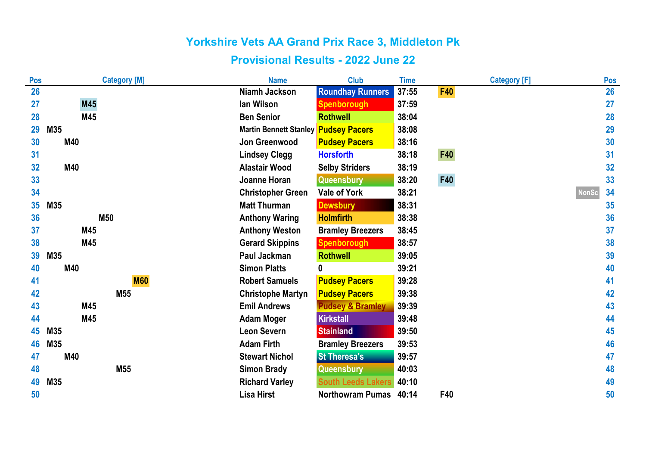| Pos | <b>Category [M]</b> | <b>Name</b>                   | <b>Club</b>                 | <b>Time</b> | <b>Category [F]</b> |              | Pos |
|-----|---------------------|-------------------------------|-----------------------------|-------------|---------------------|--------------|-----|
| 26  |                     | <b>Niamh Jackson</b>          | <b>Roundhay Runners</b>     | 37:55       | <b>F40</b>          |              | 26  |
| 27  | M45                 | lan Wilson                    | Spenborough                 | 37:59       |                     |              | 27  |
| 28  | M45                 | <b>Ben Senior</b>             | <b>Rothwell</b>             | 38:04       |                     |              | 28  |
| 29  | M35                 | <b>Martin Bennett Stanley</b> | <b>Pudsey Pacers</b>        | 38:08       |                     |              | 29  |
| 30  | M40                 | Jon Greenwood                 | <b>Pudsey Pacers</b>        | 38:16       |                     |              | 30  |
| 31  |                     | <b>Lindsey Clegg</b>          | <b>Horsforth</b>            | 38:18       | <b>F40</b>          |              | 31  |
| 32  | M40                 | <b>Alastair Wood</b>          | <b>Selby Striders</b>       | 38:19       |                     |              | 32  |
| 33  |                     | Joanne Horan                  | Queensbury                  | 38:20       | <b>F40</b>          |              | 33  |
| 34  |                     | <b>Christopher Green</b>      | <b>Vale of York</b>         | 38:21       |                     | <b>NonSo</b> | 34  |
| 35  | M35                 | <b>Matt Thurman</b>           | <b>Dewsbury</b>             | 38:31       |                     |              | 35  |
| 36  | <b>M50</b>          | <b>Anthony Waring</b>         | <b>Holmfirth</b>            | 38:38       |                     |              | 36  |
| 37  | M45                 | <b>Anthony Weston</b>         | <b>Bramley Breezers</b>     | 38:45       |                     |              | 37  |
| 38  | M45                 | <b>Gerard Skippins</b>        | <b>Spenborough</b>          | 38:57       |                     |              | 38  |
| 39  | M35                 | Paul Jackman                  | <b>Rothwell</b>             | 39:05       |                     |              | 39  |
| 40  | M40                 | <b>Simon Platts</b>           | 0                           | 39:21       |                     |              | 40  |
| 41  | <b>M60</b>          | <b>Robert Samuels</b>         | <b>Pudsey Pacers</b>        | 39:28       |                     |              | 41  |
| 42  | M55                 | <b>Christophe Martyn</b>      | <b>Pudsey Pacers</b>        | 39:38       |                     |              | 42  |
| 43  | M45                 | <b>Emil Andrews</b>           | <b>Pudsey &amp; Bramley</b> | 39:39       |                     |              | 43  |
| 44  | M45                 | <b>Adam Moger</b>             | <b>Kirkstall</b>            | 39:48       |                     |              | 44  |
| 45  | M35                 | <b>Leon Severn</b>            | <b>Stainland</b>            | 39:50       |                     |              | 45  |
| 46  | M35                 | <b>Adam Firth</b>             | <b>Bramley Breezers</b>     | 39:53       |                     |              | 46  |
| 47  | M40                 | <b>Stewart Nichol</b>         | <b>St Theresa's</b>         | 39:57       |                     |              | 47  |
| 48  | M55                 | <b>Simon Brady</b>            | <b>Queensbury</b>           | 40:03       |                     |              | 48  |
| 49  | M35                 | <b>Richard Varley</b>         | <b>South Leeds Lakers</b>   | 40:10       |                     |              | 49  |
| 50  |                     | Lisa Hirst                    | <b>Northowram Pumas</b>     | 40:14       | F40                 |              | 50  |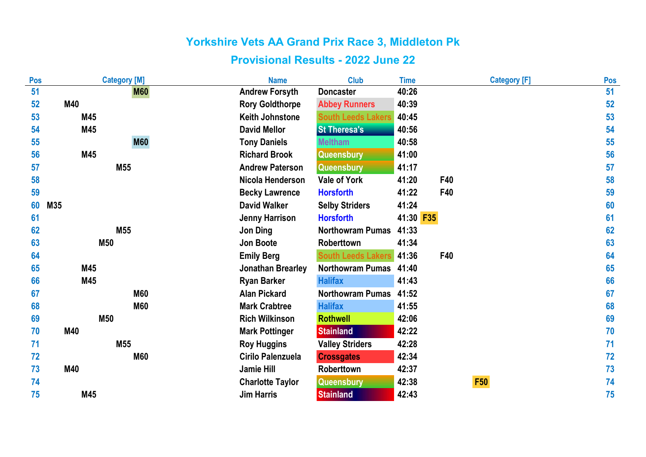| Pos | <b>Category [M]</b> | <b>Name</b>              | <b>Club</b>               | <b>Time</b> | <b>Category [F]</b> | Pos |
|-----|---------------------|--------------------------|---------------------------|-------------|---------------------|-----|
| 51  | <b>M60</b>          | <b>Andrew Forsyth</b>    | <b>Doncaster</b>          | 40:26       |                     | 51  |
| 52  | M40                 | <b>Rory Goldthorpe</b>   | <b>Abbey Runners</b>      | 40:39       |                     | 52  |
| 53  | M45                 | <b>Keith Johnstone</b>   | <b>South Leeds Lakers</b> | 40:45       |                     | 53  |
| 54  | M45                 | <b>David Mellor</b>      | <b>St Theresa's</b>       | 40:56       |                     | 54  |
| 55  | <b>M60</b>          | <b>Tony Daniels</b>      | <b>Meltham</b>            | 40:58       |                     | 55  |
| 56  | M45                 | <b>Richard Brook</b>     | Queensbury                | 41:00       |                     | 56  |
| 57  | M55                 | <b>Andrew Paterson</b>   | Queensbury                | 41:17       |                     | 57  |
| 58  |                     | Nicola Henderson         | <b>Vale of York</b>       | 41:20       | F40                 | 58  |
| 59  |                     | <b>Becky Lawrence</b>    | <b>Horsforth</b>          | 41:22       | F40                 | 59  |
| 60  | M35                 | <b>David Walker</b>      | <b>Selby Striders</b>     | 41:24       |                     | 60  |
| 61  |                     | <b>Jenny Harrison</b>    | <b>Horsforth</b>          | 41:30 F35   |                     | 61  |
| 62  | M55                 | <b>Jon Ding</b>          | <b>Northowram Pumas</b>   | 41:33       |                     | 62  |
| 63  | <b>M50</b>          | <b>Jon Boote</b>         | <b>Roberttown</b>         | 41:34       |                     | 63  |
| 64  |                     | <b>Emily Berg</b>        | <b>South Leeds Lakers</b> | 41:36       | F40                 | 64  |
| 65  | M45                 | <b>Jonathan Brearley</b> | <b>Northowram Pumas</b>   | 41:40       |                     | 65  |
| 66  | M45                 | <b>Ryan Barker</b>       | <b>Halifax</b>            | 41:43       |                     | 66  |
| 67  | <b>M60</b>          | <b>Alan Pickard</b>      | <b>Northowram Pumas</b>   | 41:52       |                     | 67  |
| 68  | <b>M60</b>          | <b>Mark Crabtree</b>     | <b>Halifax</b>            | 41:55       |                     | 68  |
| 69  | <b>M50</b>          | <b>Rich Wilkinson</b>    | <b>Rothwell</b>           | 42:06       |                     | 69  |
| 70  | M40                 | <b>Mark Pottinger</b>    | <b>Stainland</b>          | 42:22       |                     | 70  |
| 71  | M55                 | <b>Roy Huggins</b>       | <b>Valley Striders</b>    | 42:28       |                     | 71  |
| 72  | <b>M60</b>          | Cirilo Palenzuela        | <b>Crossgates</b>         | 42:34       |                     | 72  |
| 73  | M40                 | <b>Jamie Hill</b>        | Roberttown                | 42:37       |                     | 73  |
| 74  |                     | <b>Charlotte Taylor</b>  | Queensbury                | 42:38       | <b>F50</b>          | 74  |
| 75  | M45                 | <b>Jim Harris</b>        | <b>Stainland</b>          | 42:43       |                     | 75  |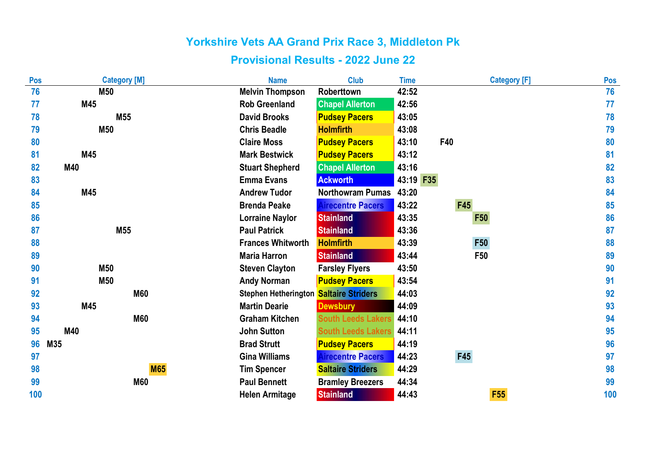| Pos | <b>Category [M]</b> | <b>Name</b>                 | <b>Club</b>               | <b>Time</b> | <b>Category [F]</b> | Pos |
|-----|---------------------|-----------------------------|---------------------------|-------------|---------------------|-----|
| 76  | <b>M50</b>          | <b>Melvin Thompson</b>      | Roberttown                | 42:52       |                     | 76  |
| 77  | M45                 | <b>Rob Greenland</b>        | <b>Chapel Allerton</b>    | 42:56       |                     | 77  |
| 78  | M55                 | <b>David Brooks</b>         | <b>Pudsey Pacers</b>      | 43:05       |                     | 78  |
| 79  | M50                 | <b>Chris Beadle</b>         | <b>Holmfirth</b>          | 43:08       |                     | 79  |
| 80  |                     | <b>Claire Moss</b>          | <b>Pudsey Pacers</b>      | 43:10       | F40                 | 80  |
| 81  | M45                 | <b>Mark Bestwick</b>        | <b>Pudsey Pacers</b>      | 43:12       |                     | 81  |
| 82  | M40                 | <b>Stuart Shepherd</b>      | <b>Chapel Allerton</b>    | 43:16       |                     | 82  |
| 83  |                     | <b>Emma Evans</b>           | <b>Ackworth</b>           | 43:19 F35   |                     | 83  |
| 84  | M45                 | <b>Andrew Tudor</b>         | <b>Northowram Pumas</b>   | 43:20       |                     | 84  |
| 85  |                     | <b>Brenda Peake</b>         | <b>Airecentre Pacers</b>  | 43:22       | <b>F45</b>          | 85  |
| 86  |                     | <b>Lorraine Naylor</b>      | <b>Stainland</b>          | 43:35       | <b>F50</b>          | 86  |
| 87  | M55                 | <b>Paul Patrick</b>         | <b>Stainland</b>          | 43:36       |                     | 87  |
| 88  |                     | <b>Frances Whitworth</b>    | <b>Holmfirth</b>          | 43:39       | <b>F50</b>          | 88  |
| 89  |                     | <b>Maria Harron</b>         | <b>Stainland</b>          | 43:44       | F50                 | 89  |
| 90  | <b>M50</b>          | <b>Steven Clayton</b>       | <b>Farsley Flyers</b>     | 43:50       |                     | 90  |
| 91  | M50                 | <b>Andy Norman</b>          | <b>Pudsey Pacers</b>      | 43:54       |                     | 91  |
| 92  | <b>M60</b>          | <b>Stephen Hetherington</b> | <b>Saltaire Striders</b>  | 44:03       |                     | 92  |
| 93  | M45                 | <b>Martin Dearie</b>        | <b>Dewsbury</b>           | 44:09       |                     | 93  |
| 94  | <b>M60</b>          | <b>Graham Kitchen</b>       | <b>South Leeds Lakers</b> | 44:10       |                     | 94  |
| 95  | M40                 | <b>John Sutton</b>          | <b>South Leeds Lakers</b> | 44:11       |                     | 95  |
| 96  | M35                 | <b>Brad Strutt</b>          | <b>Pudsey Pacers</b>      | 44:19       |                     | 96  |
| 97  |                     | <b>Gina Williams</b>        | <b>Airecentre Pacers</b>  | 44:23       | F45                 | 97  |
| 98  | <b>M65</b>          | <b>Tim Spencer</b>          | <b>Saltaire Striders</b>  | 44:29       |                     | 98  |
| 99  | <b>M60</b>          | <b>Paul Bennett</b>         | <b>Bramley Breezers</b>   | 44:34       |                     | 99  |
| 100 |                     | <b>Helen Armitage</b>       | <b>Stainland</b>          | 44:43       | <b>F55</b>          | 100 |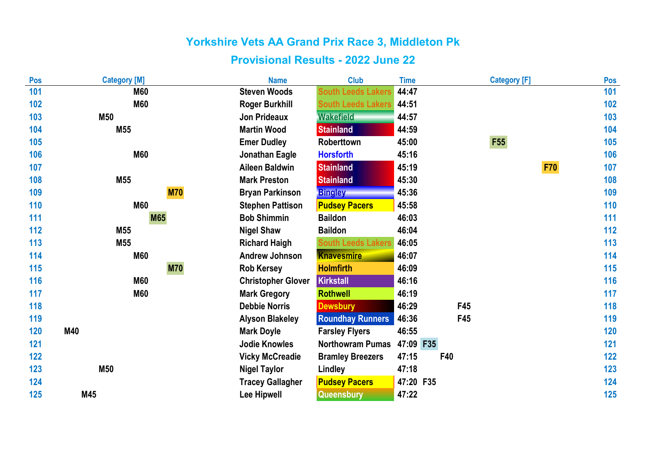| Pos | <b>Category [M]</b> | <b>Name</b>               | <b>Club</b>               | <b>Time</b> |     | <b>Category [F]</b> | Pos   |
|-----|---------------------|---------------------------|---------------------------|-------------|-----|---------------------|-------|
| 101 | <b>M60</b>          | <b>Steven Woods</b>       | <b>South Leeds Lakers</b> | 44:47       |     |                     | 101   |
| 102 | <b>M60</b>          | <b>Roger Burkhill</b>     | <b>South Leeds Lakers</b> | 44:51       |     |                     | 102   |
| 103 | <b>M50</b>          | <b>Jon Prideaux</b>       | <b>Wakefield</b>          | 44:57       |     |                     | 103   |
| 104 | M55                 | <b>Martin Wood</b>        | <b>Stainland</b>          | 44:59       |     |                     | 104   |
| 105 |                     | <b>Emer Dudley</b>        | Roberttown                | 45:00       |     | <b>F55</b>          | 105   |
| 106 | <b>M60</b>          | Jonathan Eagle            | <b>Horsforth</b>          | 45:16       |     |                     | 106   |
| 107 |                     | <b>Aileen Baldwin</b>     | <b>Stainland</b>          | 45:19       |     | <b>F70</b>          | 107   |
| 108 | M55                 | <b>Mark Preston</b>       | <b>Stainland</b>          | 45:30       |     |                     | 108   |
| 109 | <b>M70</b>          | <b>Bryan Parkinson</b>    | <b>Bingley</b>            | 45:36       |     |                     | 109   |
| 110 | <b>M60</b>          | <b>Stephen Pattison</b>   | <b>Pudsey Pacers</b>      | 45:58       |     |                     | 110   |
| 111 | <b>M65</b>          | <b>Bob Shimmin</b>        | <b>Baildon</b>            | 46:03       |     |                     | 111   |
| 112 | M55                 | <b>Nigel Shaw</b>         | <b>Baildon</b>            | 46:04       |     |                     | 112   |
| 113 | M55                 | <b>Richard Haigh</b>      | <b>South Leeds Lakers</b> | 46:05       |     |                     | 113   |
| 114 | <b>M60</b>          | <b>Andrew Johnson</b>     | <b>Knavesmire</b>         | 46:07       |     |                     | 114   |
| 115 | <b>M70</b>          | <b>Rob Kersey</b>         | <b>Holmfirth</b>          | 46:09       |     |                     | 115   |
| 116 | <b>M60</b>          | <b>Christopher Glover</b> | <b>Kirkstall</b>          | 46:16       |     |                     | 116   |
| 117 | <b>M60</b>          | <b>Mark Gregory</b>       | <b>Rothwell</b>           | 46:19       |     |                     | 117   |
| 118 |                     | <b>Debbie Norris</b>      | <b>Dewsbury</b>           | 46:29       | F45 |                     | 118   |
| 119 |                     | <b>Alyson Blakeley</b>    | <b>Roundhay Runners</b>   | 46:36       | F45 |                     | 119   |
| 120 | M40                 | <b>Mark Doyle</b>         | <b>Farsley Flyers</b>     | 46:55       |     |                     | 120   |
| 121 |                     | <b>Jodie Knowles</b>      | <b>Northowram Pumas</b>   | 47:09 F35   |     |                     | 121   |
| 122 |                     | <b>Vicky McCreadie</b>    | <b>Bramley Breezers</b>   | 47:15       | F40 |                     | $122$ |
| 123 | <b>M50</b>          | <b>Nigel Taylor</b>       | Lindley                   | 47:18       |     |                     | 123   |
| 124 |                     | <b>Tracey Gallagher</b>   | <b>Pudsey Pacers</b>      | 47:20 F35   |     |                     | 124   |
| 125 | M45                 | <b>Lee Hipwell</b>        | Queensbury                | 47:22       |     |                     | 125   |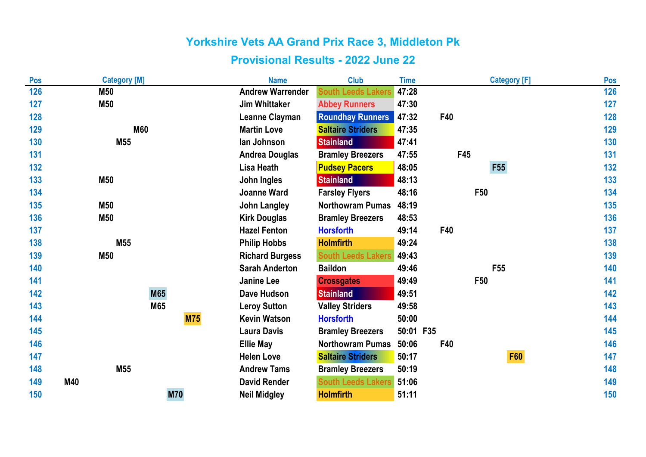| Pos | <b>Category [M]</b> |            | <b>Name</b>             | <b>Club</b>               | <b>Time</b> |     | <b>Category [F]</b> | Pos |
|-----|---------------------|------------|-------------------------|---------------------------|-------------|-----|---------------------|-----|
| 126 | <b>M50</b>          |            | <b>Andrew Warrender</b> | <b>South Leeds Lakers</b> | 47:28       |     |                     | 126 |
| 127 | M50                 |            | <b>Jim Whittaker</b>    | <b>Abbey Runners</b>      | 47:30       |     |                     | 127 |
| 128 |                     |            | <b>Leanne Clayman</b>   | <b>Roundhay Runners</b>   | 47:32       | F40 |                     | 128 |
| 129 | <b>M60</b>          |            | <b>Martin Love</b>      | <b>Saltaire Striders</b>  | 47:35       |     |                     | 129 |
| 130 | M55                 |            | lan Johnson             | <b>Stainland</b>          | 47:41       |     |                     | 130 |
| 131 |                     |            | <b>Andrea Douglas</b>   | <b>Bramley Breezers</b>   | 47:55       | F45 |                     | 131 |
| 132 |                     |            | Lisa Heath              | <b>Pudsey Pacers</b>      | 48:05       |     | F55                 | 132 |
| 133 | <b>M50</b>          |            | John Ingles             | <b>Stainland</b>          | 48:13       |     |                     | 133 |
| 134 |                     |            | <b>Joanne Ward</b>      | <b>Farsley Flyers</b>     | 48:16       | F50 |                     | 134 |
| 135 | <b>M50</b>          |            | <b>John Langley</b>     | <b>Northowram Pumas</b>   | 48:19       |     |                     | 135 |
| 136 | M50                 |            | <b>Kirk Douglas</b>     | <b>Bramley Breezers</b>   | 48:53       |     |                     | 136 |
| 137 |                     |            | <b>Hazel Fenton</b>     | <b>Horsforth</b>          | 49:14       | F40 |                     | 137 |
| 138 | M55                 |            | <b>Philip Hobbs</b>     | <b>Holmfirth</b>          | 49:24       |     |                     | 138 |
| 139 | M50                 |            | <b>Richard Burgess</b>  | <b>South Leeds Lakers</b> | 49:43       |     |                     | 139 |
| 140 |                     |            | <b>Sarah Anderton</b>   | <b>Baildon</b>            | 49:46       |     | F <sub>55</sub>     | 140 |
| 141 |                     |            | <b>Janine Lee</b>       | <b>Crossgates</b>         | 49:49       | F50 |                     | 141 |
| 142 | <b>M65</b>          |            | <b>Dave Hudson</b>      | <b>Stainland</b>          | 49:51       |     |                     | 142 |
| 143 | M65                 |            | <b>Leroy Sutton</b>     | <b>Valley Striders</b>    | 49:58       |     |                     | 143 |
| 144 |                     | <b>M75</b> | <b>Kevin Watson</b>     | <b>Horsforth</b>          | 50:00       |     |                     | 144 |
| 145 |                     |            | <b>Laura Davis</b>      | <b>Bramley Breezers</b>   | 50:01 F35   |     |                     | 145 |
| 146 |                     |            | <b>Ellie May</b>        | <b>Northowram Pumas</b>   | 50:06       | F40 |                     | 146 |
| 147 |                     |            | <b>Helen Love</b>       | <b>Saltaire Striders</b>  | 50:17       |     | <b>F60</b>          | 147 |
| 148 | M55                 |            | <b>Andrew Tams</b>      | <b>Bramley Breezers</b>   | 50:19       |     |                     | 148 |
| 149 | M40                 |            | <b>David Render</b>     | <b>South Leeds Lakers</b> | 51:06       |     |                     | 149 |
| 150 |                     | <b>M70</b> | <b>Neil Midgley</b>     | <b>Holmfirth</b>          | 51:11       |     |                     | 150 |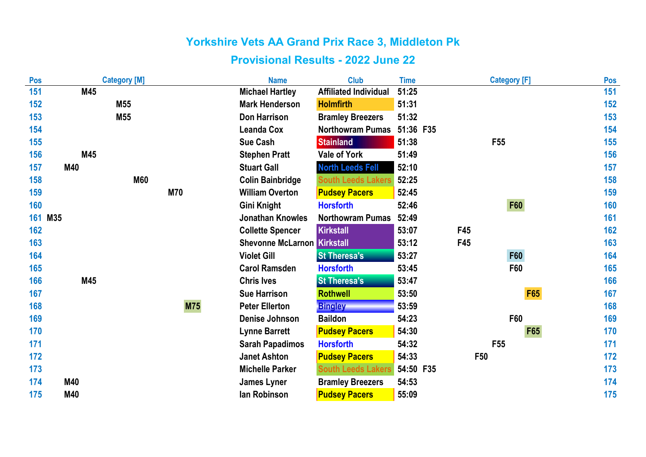| Pos |         | <b>Category [M]</b> |            | <b>Name</b>                        | <b>Club</b>                  | <b>Time</b> | <b>Category [F]</b> | Pos               |
|-----|---------|---------------------|------------|------------------------------------|------------------------------|-------------|---------------------|-------------------|
| 151 | M45     |                     |            | <b>Michael Hartley</b>             | <b>Affiliated Individual</b> | 51:25       |                     | 151               |
| 152 |         | M55                 |            | <b>Mark Henderson</b>              | <b>Holmfirth</b>             | 51:31       |                     | 152               |
| 153 |         | M55                 |            | <b>Don Harrison</b>                | <b>Bramley Breezers</b>      | 51:32       |                     | 153               |
| 154 |         |                     |            | <b>Leanda Cox</b>                  | <b>Northowram Pumas</b>      | 51:36 F35   |                     | 154               |
| 155 |         |                     |            | <b>Sue Cash</b>                    | <b>Stainland</b>             | 51:38       | F <sub>55</sub>     | 155               |
| 156 | M45     |                     |            | <b>Stephen Pratt</b>               | <b>Vale of York</b>          | 51:49       |                     | 156               |
| 157 | M40     |                     |            | <b>Stuart Gall</b>                 | <b>North Leeds Fell</b>      | 52:10       |                     | 157               |
| 158 |         | <b>M60</b>          |            | <b>Colin Bainbridge</b>            | <b>South Leeds Lakers</b>    | 52:25       |                     | 158               |
| 159 |         |                     | <b>M70</b> | <b>William Overton</b>             | <b>Pudsey Pacers</b>         | 52:45       |                     | 159               |
| 160 |         |                     |            | <b>Gini Knight</b>                 | <b>Horsforth</b>             | 52:46       | <b>F60</b>          | 160               |
|     | 161 M35 |                     |            | <b>Jonathan Knowles</b>            | <b>Northowram Pumas</b>      | 52:49       |                     | 161               |
| 162 |         |                     |            | <b>Collette Spencer</b>            | Kirkstall                    | 53:07       | F45                 | 162               |
| 163 |         |                     |            | <b>Shevonne McLarnon Kirkstall</b> |                              | 53:12       | F45                 | 163               |
| 164 |         |                     |            | <b>Violet Gill</b>                 | <b>St Theresa's</b>          | 53:27       | <b>F60</b>          | 164               |
| 165 |         |                     |            | <b>Carol Ramsden</b>               | <b>Horsforth</b>             | 53:45       | F60                 | 165               |
| 166 | M45     |                     |            | <b>Chris Ives</b>                  | <b>St Theresa's</b>          | 53:47       |                     | 166               |
| 167 |         |                     |            | <b>Sue Harrison</b>                | <b>Rothwell</b>              | 53:50       |                     | <b>F65</b><br>167 |
| 168 |         |                     | <b>M75</b> | <b>Peter Ellerton</b>              | <b>Bingley</b>               | 53:59       |                     | 168               |
| 169 |         |                     |            | <b>Denise Johnson</b>              | <b>Baildon</b>               | 54:23       | F60                 | 169               |
| 170 |         |                     |            | <b>Lynne Barrett</b>               | <b>Pudsey Pacers</b>         | 54:30       |                     | F65<br>170        |
| 171 |         |                     |            | <b>Sarah Papadimos</b>             | <b>Horsforth</b>             | 54:32       | F <sub>55</sub>     | 171               |
| 172 |         |                     |            | <b>Janet Ashton</b>                | <b>Pudsey Pacers</b>         | 54:33       | <b>F50</b>          | 172               |
| 173 |         |                     |            | <b>Michelle Parker</b>             | <b>South Leeds Lakers</b>    | 54:50 F35   |                     | 173               |
| 174 | M40     |                     |            | <b>James Lyner</b>                 | <b>Bramley Breezers</b>      | 54:53       |                     | 174               |
| 175 | M40     |                     |            | lan Robinson                       | <b>Pudsey Pacers</b>         | 55:09       |                     | 175               |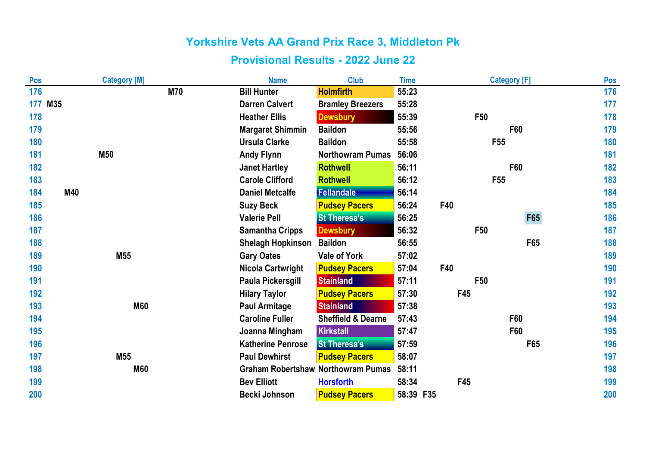| Pos     |     | <b>Category [M]</b> |            | <b>Name</b>                               | <b>Club</b>                   | <b>Time</b> | <b>Category [F]</b> |            | Pos |
|---------|-----|---------------------|------------|-------------------------------------------|-------------------------------|-------------|---------------------|------------|-----|
| 176     |     |                     | <b>M70</b> | <b>Bill Hunter</b>                        | <b>Holmfirth</b>              | 55:23       |                     |            | 176 |
| 177 M35 |     |                     |            | <b>Darren Calvert</b>                     | <b>Bramley Breezers</b>       | 55:28       |                     |            | 177 |
| 178     |     |                     |            | <b>Heather Ellis</b>                      | <b>Dewsbury</b>               | 55:39       | <b>F50</b>          |            | 178 |
| 179     |     |                     |            | <b>Margaret Shimmin</b>                   | <b>Baildon</b>                | 55:56       | F60                 |            | 179 |
| 180     |     |                     |            | <b>Ursula Clarke</b>                      | <b>Baildon</b>                | 55:58       | F <sub>55</sub>     |            | 180 |
| 181     |     | <b>M50</b>          |            | <b>Andy Flynn</b>                         | <b>Northowram Pumas</b>       | 56:06       |                     |            | 181 |
| 182     |     |                     |            | <b>Janet Hartley</b>                      | <b>Rothwell</b>               | 56:11       | F60                 |            | 182 |
| 183     |     |                     |            | <b>Carole Clifford</b>                    | <b>Rothwell</b>               | 56:12       | F <sub>55</sub>     |            | 183 |
| 184     | M40 |                     |            | <b>Daniel Metcalfe</b>                    | <b>Fellandale</b>             | 56:14       |                     |            | 184 |
| 185     |     |                     |            | <b>Suzy Beck</b>                          | <b>Pudsey Pacers</b>          | 56:24       | <b>F40</b>          |            | 185 |
| 186     |     |                     |            | <b>Valerie Pell</b>                       | <b>St Theresa's</b>           | 56:25       |                     | <b>F65</b> | 186 |
| 187     |     |                     |            | <b>Samantha Cripps</b>                    | <b>Dewsbury</b>               | 56:32       | F50                 |            | 187 |
| 188     |     |                     |            | <b>Shelagh Hopkinson</b>                  | <b>Baildon</b>                | 56:55       |                     | F65        | 188 |
| 189     |     | M55                 |            | <b>Gary Oates</b>                         | <b>Vale of York</b>           | 57:02       |                     |            | 189 |
| 190     |     |                     |            | <b>Nicola Cartwright</b>                  | <b>Pudsey Pacers</b>          | 57:04       | F40                 |            | 190 |
| 191     |     |                     |            | Paula Pickersgill                         | <b>Stainland</b>              | 57:11       | F50                 |            | 191 |
| 192     |     |                     |            | <b>Hilary Taylor</b>                      | <b>Pudsey Pacers</b>          | 57:30       | F45                 |            | 192 |
| 193     |     | <b>M60</b>          |            | <b>Paul Armitage</b>                      | <b>Stainland</b>              | 57:38       |                     |            | 193 |
| 194     |     |                     |            | <b>Caroline Fuller</b>                    | <b>Sheffield &amp; Dearne</b> | 57:43       | F60                 |            | 194 |
| 195     |     |                     |            | Joanna Mingham                            | <b>Kirkstall</b>              | 57:47       | <b>F60</b>          |            | 195 |
| 196     |     |                     |            | <b>Katherine Penrose</b>                  | <b>St Theresa's</b>           | 57:59       |                     | F65        | 196 |
| 197     |     | M <sub>55</sub>     |            | <b>Paul Dewhirst</b>                      | <b>Pudsey Pacers</b>          | 58:07       |                     |            | 197 |
| 198     |     | <b>M60</b>          |            | <b>Graham Robertshaw Northowram Pumas</b> |                               | 58:11       |                     |            | 198 |
| 199     |     |                     |            | <b>Bev Elliott</b>                        | <b>Horsforth</b>              | 58:34       | F45                 |            | 199 |
| 200     |     |                     |            | <b>Becki Johnson</b>                      | <b>Pudsey Pacers</b>          | 58:39 F35   |                     |            | 200 |